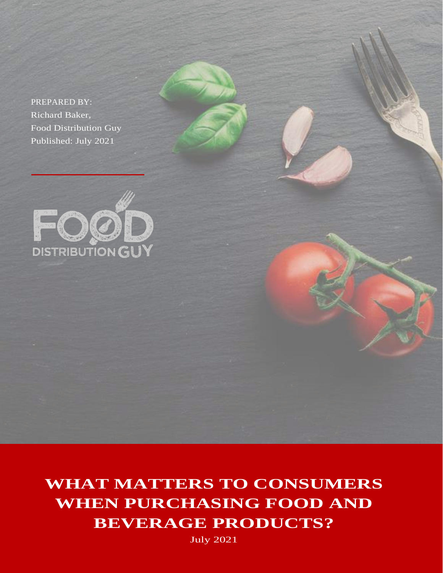PREPARED BY: Richard Baker, Food Distribution Guy Published: July 2021



**WHAT MATTERS TO CONSUMERS WHEN PURCHASING FOOD AND BEVERAGE PRODUCTS?**

July 2021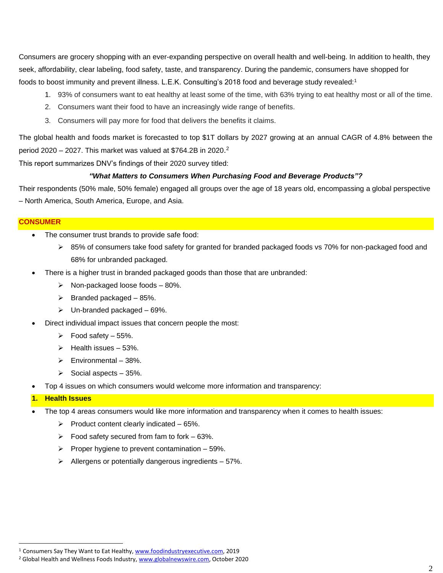Consumers are grocery shopping with an ever-expanding perspective on overall health and well-being. In addition to health, they seek, affordability, clear labeling, food safety, taste, and transparency. During the pandemic, consumers have shopped for foods to boost immunity and prevent illness. L.E.K. Consulting's 2018 food and beverage study revealed:<sup>1</sup>

- 1. 93% of consumers want to eat healthy at least some of the time, with 63% trying to eat healthy most or all of the time.
- 2. Consumers want their food to have an increasingly wide range of benefits.
- 3. Consumers will pay more for food that delivers the benefits it claims.

The global health and foods market is forecasted to top \$1T dollars by 2027 growing at an annual CAGR of 4.8% between the period 2020 – 2027. This market was valued at \$764.2B in 2020.<sup>2</sup>

This report summarizes DNV's findings of their 2020 survey titled:

## *"What Matters to Consumers When Purchasing Food and Beverage Products"?*

Their respondents (50% male, 50% female) engaged all groups over the age of 18 years old, encompassing a global perspective – North America, South America, Europe, and Asia.

#### **CONSUMER**

- The consumer trust brands to provide safe food:
	- ➢ 85% of consumers take food safety for granted for branded packaged foods vs 70% for non-packaged food and 68% for unbranded packaged.
- There is a higher trust in branded packaged goods than those that are unbranded:
	- $\triangleright$  Non-packaged loose foods 80%.
	- $\triangleright$  Branded packaged 85%.
	- $\blacktriangleright$  Un-branded packaged 69%.
- Direct individual impact issues that concern people the most:
	- $\triangleright$  Food safety 55%.
	- $\blacktriangleright$  Health issues 53%.
	- $\triangleright$  Environmental 38%.
	- $\triangleright$  Social aspects 35%.
- Top 4 issues on which consumers would welcome more information and transparency:

# **1. Health Issues**

• The top 4 areas consumers would like more information and transparency when it comes to health issues:

- $\triangleright$  Product content clearly indicated 65%.
- $\triangleright$  Food safety secured from fam to fork 63%.
- $\triangleright$  Proper hygiene to prevent contamination 59%.
- $\triangleright$  Allergens or potentially dangerous ingredients 57%.

<sup>1</sup> Consumers Say They Want to Eat Healthy, [www.foodindustryexecutive.com,](http://www.foodindustryexecutive.com/) 2019

<sup>&</sup>lt;sup>2</sup> Global Health and Wellness Foods Industry, [www.globalnewswire.com,](http://www.globalnewswire.com/) October 2020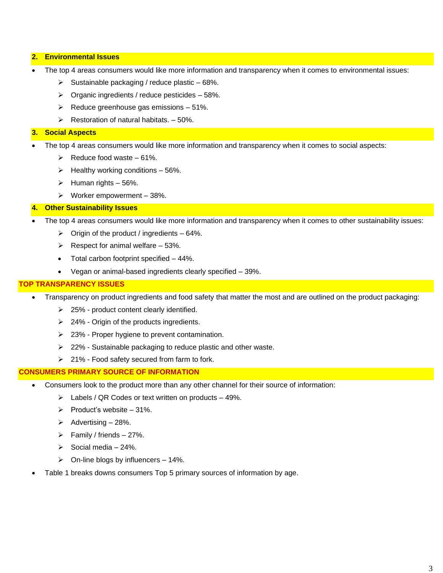#### **2. Environmental Issues**

- The top 4 areas consumers would like more information and transparency when it comes to environmental issues:
	- $\triangleright$  Sustainable packaging / reduce plastic 68%.
	- $\triangleright$  Organic ingredients / reduce pesticides 58%.
	- $\triangleright$  Reduce greenhouse gas emissions 51%.
	- $\triangleright$  Restoration of natural habitats.  $-50\%$ .

#### **3. Social Aspects**

- The top 4 areas consumers would like more information and transparency when it comes to social aspects:
	- $\triangleright$  Reduce food waste 61%.
	- $\blacktriangleright$  Healthy working conditions 56%.
	- $\blacktriangleright$  Human rights 56%.
	- $\triangleright$  Worker empowerment 38%.

#### **4. Other Sustainability Issues**

- The top 4 areas consumers would like more information and transparency when it comes to other sustainability issues:
	- $\triangleright$  Origin of the product / ingredients 64%.
	- $\triangleright$  Respect for animal welfare 53%.
	- Total carbon footprint specified 44%.
	- Vegan or animal-based ingredients clearly specified 39%.

#### **TOP TRANSPARENCY ISSUES**

- Transparency on product ingredients and food safety that matter the most and are outlined on the product packaging:
	- ➢ 25% product content clearly identified.
	- ➢ 24% Origin of the products ingredients.
	- ➢ 23% Proper hygiene to prevent contamination.
	- ➢ 22% Sustainable packaging to reduce plastic and other waste.
	- ➢ 21% Food safety secured from farm to fork.

## **CONSUMERS PRIMARY SOURCE OF INFORMATION**

- Consumers look to the product more than any other channel for their source of information:
	- ➢ Labels / QR Codes or text written on products 49%.
	- $\triangleright$  Product's website 31%.
	- $\triangleright$  Advertising 28%.
	- $\triangleright$  Family / friends 27%.
	- $\geq$  Social media 24%.
	- $\triangleright$  On-line blogs by influencers 14%.
- Table 1 breaks downs consumers Top 5 primary sources of information by age.